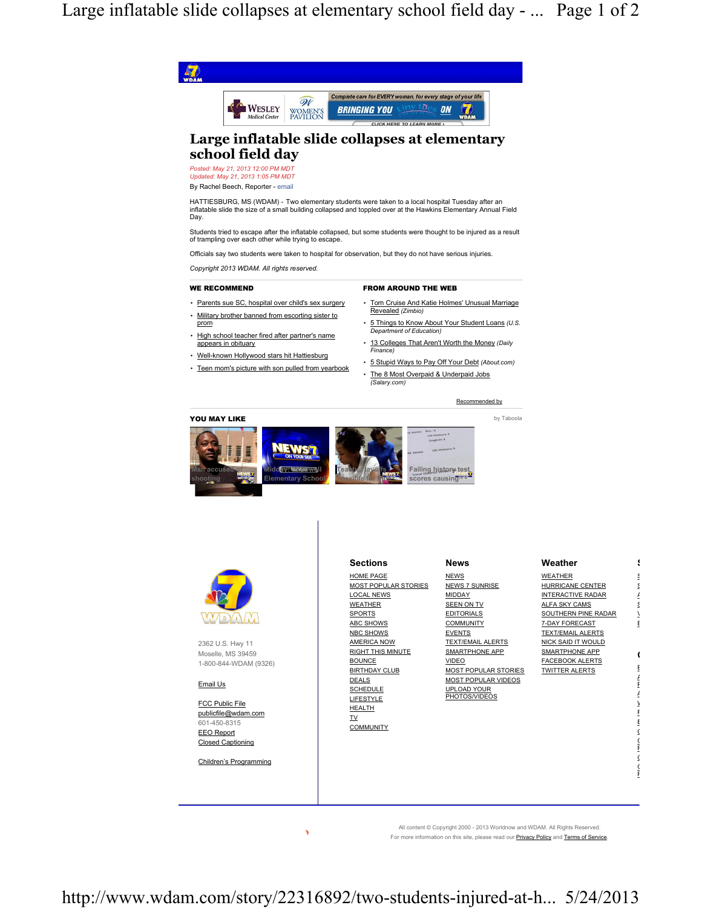Large inflatable slide collapses at elementary school field day - ... Page 1 of 2





2362 U.S. Hwy 11 Moselle, MS 39459 1-800-844-WDAM (9326)

Email Us

FCC Public File publicfile@wdam.com 601-450-8315 EEO Report Closed Captioning

Children's Programming



| <b>Sections</b>      | <b>News</b>                  | Weather                  |   |
|----------------------|------------------------------|--------------------------|---|
| HOME PAGE            | <b>NEWS</b>                  | WEATHER                  |   |
| MOST POPULAR STORIES | <b>NEWS 7 SUNRISE</b>        | HURRICANE CENTER         |   |
| LOCAL NEWS           | <b>MIDDAY</b>                | <b>INTERACTIVE RADAR</b> |   |
| <b>WEATHER</b>       | <b>SEEN ON TV</b>            | ALFA SKY CAMS            |   |
| <b>SPORTS</b>        | <b>EDITORIALS</b>            | SOUTHERN PINE RADAR      |   |
| <b>ABC SHOWS</b>     | <b>COMMUNITY</b>             | 7-DAY FORECAST           | E |
| <b>NBC SHOWS</b>     | <b>EVENTS</b>                | <b>TEXT/EMAIL ALERTS</b> |   |
| AMERICA NOW          | <b>TEXT/EMAIL ALERTS</b>     | NICK SAID IT WOULD       |   |
| RIGHT THIS MINUTE    | SMARTPHONE APP               | SMARTPHONE APP           |   |
| <b>BOUNCE</b>        | <b>VIDEO</b>                 | <b>FACEBOOK ALERTS</b>   |   |
| <b>BIRTHDAY CLUB</b> | MOST POPULAR STORIES         | <b>TWITTER ALERTS</b>    |   |
| <b>DEALS</b>         | MOST POPULAR VIDEOS          |                          |   |
| <b>SCHEDULE</b>      | UPLOAD YOUR<br>PHOTOS/VIDEOS |                          |   |
| LIFESTYLE            |                              |                          |   |
| <b>HEALTH</b>        |                              |                          |   |
| <b>TV</b>            |                              |                          |   |
| <b>COMMUNITY</b>     |                              |                          |   |
|                      |                              |                          |   |
|                      |                              |                          |   |
|                      |                              |                          |   |
|                      |                              |                          |   |
|                      |                              |                          |   |

All content © Copyright 2000 - 2013 Worldnow and WDAM. All Rights Reserved. For more information on this site, please read our **Privacy Policy** and **Terms of Service**.

http://www.wdam.com/story/22316892/two-students-injured-at-h... 5/24/2013

×